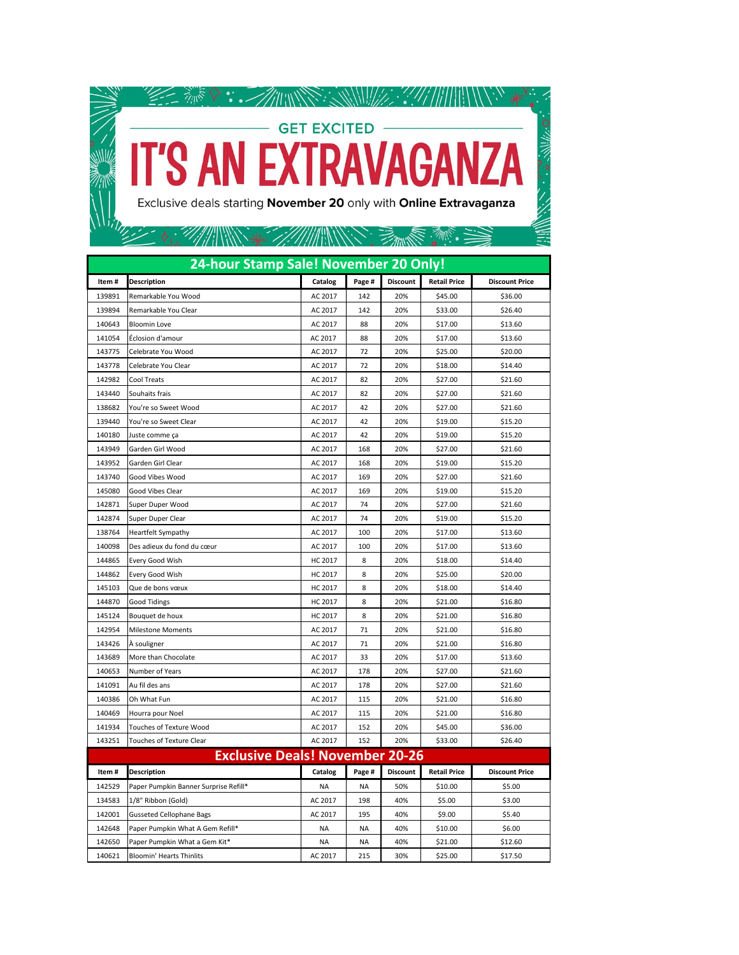

| 24-hour Stamp Sale! November 20 Only!  |                                       |                |           |                 |                     |                       |  |  |  |
|----------------------------------------|---------------------------------------|----------------|-----------|-----------------|---------------------|-----------------------|--|--|--|
| Item#                                  | <b>Description</b>                    | Catalog        | Page #    | <b>Discount</b> | <b>Retail Price</b> | <b>Discount Price</b> |  |  |  |
| 139891                                 | Remarkable You Wood                   | AC 2017        | 142       | 20%             | \$45.00             | \$36.00               |  |  |  |
| 139894                                 | Remarkable You Clear                  | AC 2017        | 142       | 20%             | \$33.00             | \$26.40               |  |  |  |
| 140643                                 | <b>Bloomin Love</b>                   | AC 2017        | 88        | 20%             | \$17.00             | \$13.60               |  |  |  |
| 141054                                 | Éclosion d'amour                      | AC 2017        | 88        | 20%             | \$17.00             | \$13.60               |  |  |  |
| 143775                                 | Celebrate You Wood                    | AC 2017        | 72        | 20%             | \$25.00             | \$20.00               |  |  |  |
| 143778                                 | Celebrate You Clear                   | AC 2017        | 72        | 20%             | \$18.00             | \$14.40               |  |  |  |
| 142982                                 | Cool Treats                           | AC 2017        | 82        | 20%             | \$27.00             | \$21.60               |  |  |  |
| 143440                                 | Souhaits frais                        | AC 2017        | 82        | 20%             | \$27.00             | \$21.60               |  |  |  |
| 138682                                 | You're so Sweet Wood                  | AC 2017        | 42        | 20%             | \$27.00             | \$21.60               |  |  |  |
| 139440                                 | You're so Sweet Clear                 | AC 2017        | 42        | 20%             | \$19.00             | \$15.20               |  |  |  |
| 140180                                 | Juste comme ça                        | AC 2017        | 42        | 20%             | \$19.00             | \$15.20               |  |  |  |
| 143949                                 | Garden Girl Wood                      | AC 2017        | 168       | 20%             | \$27.00             | \$21.60               |  |  |  |
| 143952                                 | Garden Girl Clear                     | AC 2017        | 168       | 20%             | \$19.00             | \$15.20               |  |  |  |
| 143740                                 | Good Vibes Wood                       | AC 2017        | 169       | 20%             | \$27.00             | \$21.60               |  |  |  |
| 145080                                 | Good Vibes Clear                      | AC 2017        | 169       | 20%             | \$19.00             | \$15.20               |  |  |  |
| 142871                                 | Super Duper Wood                      | AC 2017        | 74        | 20%             | \$27.00             | \$21.60               |  |  |  |
| 142874                                 | Super Duper Clear                     | AC 2017        | 74        | 20%             | \$19.00             | \$15.20               |  |  |  |
| 138764                                 | Heartfelt Sympathy                    | AC 2017        | 100       | 20%             | \$17.00             | \$13.60               |  |  |  |
| 140098                                 | Des adieux du fond du cœur            | AC 2017        | 100       | 20%             | \$17.00             | \$13.60               |  |  |  |
| 144865                                 | Every Good Wish                       | HC 2017        | 8         | 20%             | \$18.00             | \$14.40               |  |  |  |
| 144862                                 | Every Good Wish                       | HC 2017        | 8         | 20%             | \$25.00             | \$20.00               |  |  |  |
| 145103                                 | Que de bons vœux                      | HC 2017        | 8         | 20%             | \$18.00             | \$14.40               |  |  |  |
| 144870                                 | <b>Good Tidings</b>                   | <b>HC 2017</b> | 8         | 20%             | \$21.00             | \$16.80               |  |  |  |
| 145124                                 | Bouquet de houx                       | <b>HC 2017</b> | 8         | 20%             | \$21.00             | \$16.80               |  |  |  |
| 142954                                 | <b>Milestone Moments</b>              | AC 2017        | 71        | 20%             | \$21.00             | \$16.80               |  |  |  |
| 143426                                 | A souligner                           | AC 2017        | 71        | 20%             | \$21.00             | \$16.80               |  |  |  |
| 143689                                 | More than Chocolate                   | AC 2017        | 33        | 20%             | \$17.00             | \$13.60               |  |  |  |
| 140653                                 | Number of Years                       | AC 2017        | 178       | 20%             | \$27.00             | \$21.60               |  |  |  |
| 141091                                 | Au fil des ans                        | AC 2017        | 178       | 20%             | \$27.00             | \$21.60               |  |  |  |
| 140386                                 | Oh What Fun                           | AC 2017        | 115       | 20%             | \$21.00             | \$16.80               |  |  |  |
| 140469                                 | Hourra pour Noel                      | AC 2017        | 115       | 20%             | \$21.00             | \$16.80               |  |  |  |
| 141934                                 | <b>Touches of Texture Wood</b>        | AC 2017        | 152       | 20%             | \$45.00             | \$36.00               |  |  |  |
| 143251                                 | <b>Touches of Texture Clear</b>       | AC 2017        | 152       | 20%             | \$33.00             | \$26.40               |  |  |  |
| <b>Exclusive Deals! November 20-26</b> |                                       |                |           |                 |                     |                       |  |  |  |
| Item#                                  | <b>Description</b>                    | Catalog        | Page #    | <b>Discount</b> | <b>Retail Price</b> | <b>Discount Price</b> |  |  |  |
| 142529                                 | Paper Pumpkin Banner Surprise Refill* | <b>NA</b>      | <b>NA</b> | 50%             | \$10.00             | \$5.00                |  |  |  |
| 134583                                 | 1/8" Ribbon (Gold)                    | AC 2017        | 198       | 40%             | \$5.00              | \$3.00                |  |  |  |
| 142001                                 | <b>Gusseted Cellophane Bags</b>       | AC 2017        | 195       | 40%             | \$9.00              | \$5.40                |  |  |  |
| 142648                                 | Paper Pumpkin What A Gem Refill*      | <b>NA</b>      | <b>NA</b> | 40%             | \$10.00             | \$6.00                |  |  |  |
| 142650                                 | Paper Pumpkin What a Gem Kit*         | <b>NA</b>      | <b>NA</b> | 40%             | \$21.00             | \$12.60               |  |  |  |
| 140621                                 | <b>Bloomin' Hearts Thinlits</b>       | AC 2017        | 215       | 30%             | \$25.00             | \$17.50               |  |  |  |